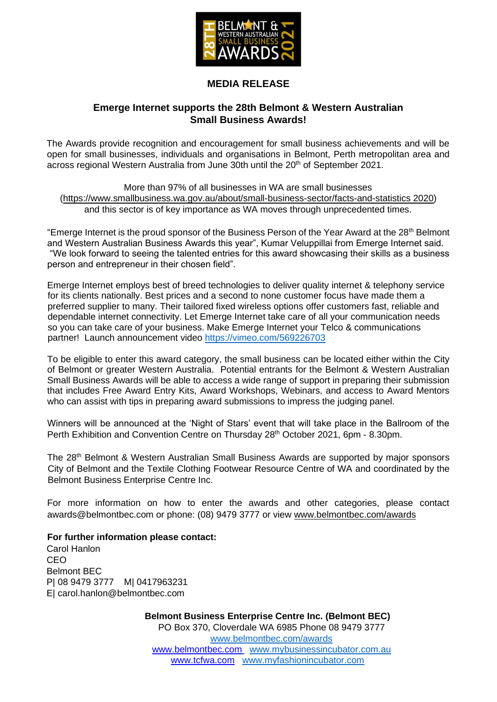

## **MEDIA RELEASE**

### **Emerge Internet supports the 28th Belmont & Western Australian Small Business Awards!**

The Awards provide recognition and encouragement for small business achievements and will be open for small businesses, individuals and organisations in Belmont, Perth metropolitan area and across regional Western Australia from June 30th until the 20<sup>th</sup> of September 2021.

More than 97% of all businesses in WA are small businesses [\(https://www.smallbusiness.wa.gov.au/about/small-business-sector/facts-and-statistics 2020\)](https://www.smallbusiness.wa.gov.au/about/small-business-sector/facts-and-statistics%202020) and this sector is of key importance as WA moves through unprecedented times.

"Emerge Internet is the proud sponsor of the Business Person of the Year Award at the 28<sup>th</sup> Belmont and Western Australian Business Awards this year", Kumar Veluppillai from Emerge Internet said. "We look forward to seeing the talented entries for this award showcasing their skills as a business person and entrepreneur in their chosen field".

Emerge Internet employs best of breed technologies to deliver quality internet & telephony service for its clients nationally. Best prices and a second to none customer focus have made them a preferred supplier to many. Their tailored fixed wireless options offer customers fast, reliable and dependable internet connectivity. Let Emerge Internet take care of all your communication needs so you can take care of your business. Make Emerge Internet your Telco & communications partner! Launch announcement video <https://vimeo.com/569226703>

To be eligible to enter this award category, the small business can be located either within the City of Belmont or greater Western Australia. Potential entrants for the Belmont & Western Australian Small Business Awards will be able to access a wide range of support in preparing their submission that includes Free Award Entry Kits, Award Workshops, Webinars, and access to Award Mentors who can assist with tips in preparing award submissions to impress the judging panel.

Winners will be announced at the 'Night of Stars' event that will take place in the Ballroom of the Perth Exhibition and Convention Centre on Thursday 28<sup>th</sup> October 2021, 6pm - 8.30pm.

The 28th Belmont & Western Australian Small Business Awards are supported by major sponsors City of Belmont and the Textile Clothing Footwear Resource Centre of WA and coordinated by the Belmont Business Enterprise Centre Inc.

For more information on how to enter the awards and other categories, please contact awards@belmontbec.com or phone: (08) 9479 3777 or view [www.belmontbec.com/awards](http://www.belmontbec.com/awards)

#### **For further information please contact:**

Carol Hanlon CEO Belmont BEC P| 08 9479 3777 M| 0417963231 E| carol.hanlon@belmontbec.com

> **Belmont Business Enterprise Centre Inc. (Belmont BEC)** PO Box 370, Cloverdale WA 6985 Phone 08 9479 3777 [www.belmontbec.com/awards](http://www.belmontbec.com/awards) [www.belmontbec.com](http://www.belmontbec.com/) [www.mybusinessincubator.com.au](http://www.mybusinessincubator.com.au/) [www.tcfwa.com](http://www.tcfwa.com/) [www.myfashionincubator.com](http://www.myfashionincubator.com/)